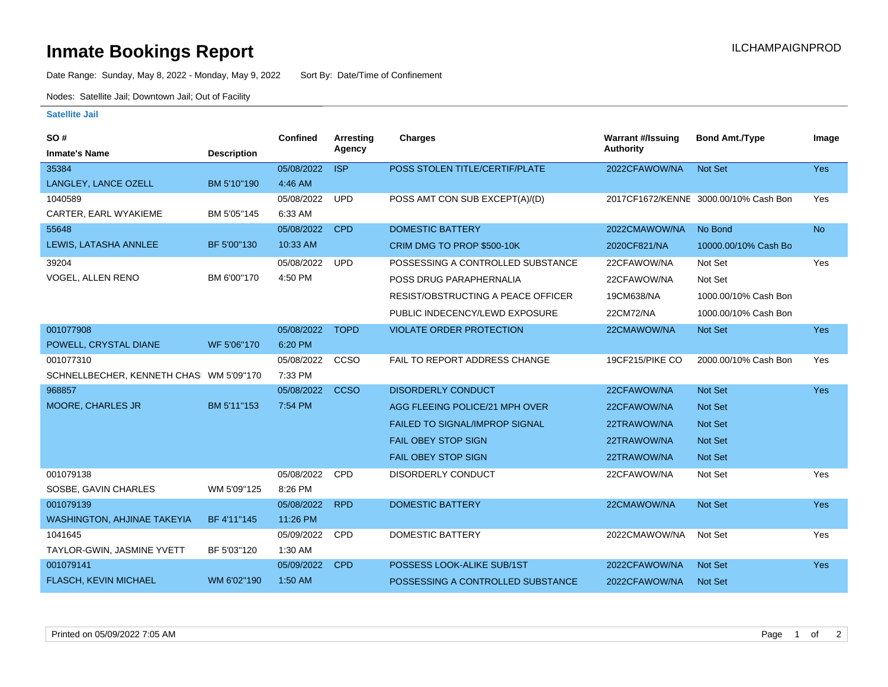## **Inmate Bookings Report International Contract Contract Contract Contract Contract Contract Contract Contract Contract Contract Contract Contract Contract Contract Contract Contract Contract Contract Contract Contract Co**

Date Range: Sunday, May 8, 2022 - Monday, May 9, 2022 Sort By: Date/Time of Confinement

Nodes: Satellite Jail; Downtown Jail; Out of Facility

### **Satellite Jail**

| SO#                                     |                    | <b>Confined</b> | Arresting   | <b>Charges</b>                        | <b>Warrant #/Issuing</b> | <b>Bond Amt./Type</b>                 | Image      |
|-----------------------------------------|--------------------|-----------------|-------------|---------------------------------------|--------------------------|---------------------------------------|------------|
| <b>Inmate's Name</b>                    | <b>Description</b> |                 | Agency      |                                       | <b>Authority</b>         |                                       |            |
| 35384                                   |                    | 05/08/2022      | <b>ISP</b>  | POSS STOLEN TITLE/CERTIF/PLATE        | 2022CFAWOW/NA            | Not Set                               | Yes        |
| LANGLEY, LANCE OZELL                    | BM 5'10"190        | 4:46 AM         |             |                                       |                          |                                       |            |
| 1040589                                 |                    | 05/08/2022      | <b>UPD</b>  | POSS AMT CON SUB EXCEPT(A)/(D)        |                          | 2017CF1672/KENNE 3000.00/10% Cash Bon | Yes        |
| CARTER, EARL WYAKIEME                   | BM 5'05"145        | 6:33 AM         |             |                                       |                          |                                       |            |
| 55648                                   |                    | 05/08/2022      | <b>CPD</b>  | <b>DOMESTIC BATTERY</b>               | 2022CMAWOW/NA            | No Bond                               | <b>No</b>  |
| LEWIS, LATASHA ANNLEE                   | BF 5'00"130        | 10:33 AM        |             | CRIM DMG TO PROP \$500-10K            | 2020CF821/NA             | 10000.00/10% Cash Bo                  |            |
| 39204                                   |                    | 05/08/2022      | <b>UPD</b>  | POSSESSING A CONTROLLED SUBSTANCE     | 22CFAWOW/NA              | Not Set                               | Yes        |
| VOGEL, ALLEN RENO                       | BM 6'00"170        | 4:50 PM         |             | POSS DRUG PARAPHERNALIA               | 22CFAWOW/NA              | Not Set                               |            |
|                                         |                    |                 |             | RESIST/OBSTRUCTING A PEACE OFFICER    | 19CM638/NA               | 1000.00/10% Cash Bon                  |            |
|                                         |                    |                 |             | PUBLIC INDECENCY/LEWD EXPOSURE        | 22CM72/NA                | 1000.00/10% Cash Bon                  |            |
| 001077908                               |                    | 05/08/2022      | <b>TOPD</b> | <b>VIOLATE ORDER PROTECTION</b>       | 22CMAWOW/NA              | Not Set                               | <b>Yes</b> |
| POWELL, CRYSTAL DIANE                   | WF 5'06"170        | 6:20 PM         |             |                                       |                          |                                       |            |
| 001077310                               |                    | 05/08/2022      | CCSO        | FAIL TO REPORT ADDRESS CHANGE         | 19CF215/PIKE CO          | 2000.00/10% Cash Bon                  | Yes        |
| SCHNELLBECHER, KENNETH CHAS WM 5'09"170 |                    | 7:33 PM         |             |                                       |                          |                                       |            |
| 968857                                  |                    | 05/08/2022      | <b>CCSO</b> | <b>DISORDERLY CONDUCT</b>             | 22CFAWOW/NA              | Not Set                               | <b>Yes</b> |
| MOORE, CHARLES JR                       | BM 5'11"153        | 7:54 PM         |             | AGG FLEEING POLICE/21 MPH OVER        | 22CFAWOW/NA              | <b>Not Set</b>                        |            |
|                                         |                    |                 |             | <b>FAILED TO SIGNAL/IMPROP SIGNAL</b> | 22TRAWOW/NA              | <b>Not Set</b>                        |            |
|                                         |                    |                 |             | <b>FAIL OBEY STOP SIGN</b>            | 22TRAWOW/NA              | <b>Not Set</b>                        |            |
|                                         |                    |                 |             | <b>FAIL OBEY STOP SIGN</b>            | 22TRAWOW/NA              | <b>Not Set</b>                        |            |
| 001079138                               |                    | 05/08/2022      | CPD         | DISORDERLY CONDUCT                    | 22CFAWOW/NA              | Not Set                               | Yes        |
| SOSBE, GAVIN CHARLES                    | WM 5'09"125        | 8:26 PM         |             |                                       |                          |                                       |            |
| 001079139                               |                    | 05/08/2022      | <b>RPD</b>  | <b>DOMESTIC BATTERY</b>               | 22CMAWOW/NA              | <b>Not Set</b>                        | <b>Yes</b> |
| WASHINGTON, AHJINAE TAKEYIA             | BF 4'11"145        | 11:26 PM        |             |                                       |                          |                                       |            |
| 1041645                                 |                    | 05/09/2022      | CPD         | <b>DOMESTIC BATTERY</b>               | 2022CMAWOW/NA            | Not Set                               | Yes        |
| TAYLOR-GWIN, JASMINE YVETT              | BF 5'03"120        | 1:30 AM         |             |                                       |                          |                                       |            |
| 001079141                               |                    | 05/09/2022      | <b>CPD</b>  | POSSESS LOOK-ALIKE SUB/1ST            | 2022CFAWOW/NA            | <b>Not Set</b>                        | <b>Yes</b> |
| <b>FLASCH, KEVIN MICHAEL</b>            | WM 6'02"190        | 1:50 AM         |             | POSSESSING A CONTROLLED SUBSTANCE     | 2022CFAWOW/NA            | <b>Not Set</b>                        |            |